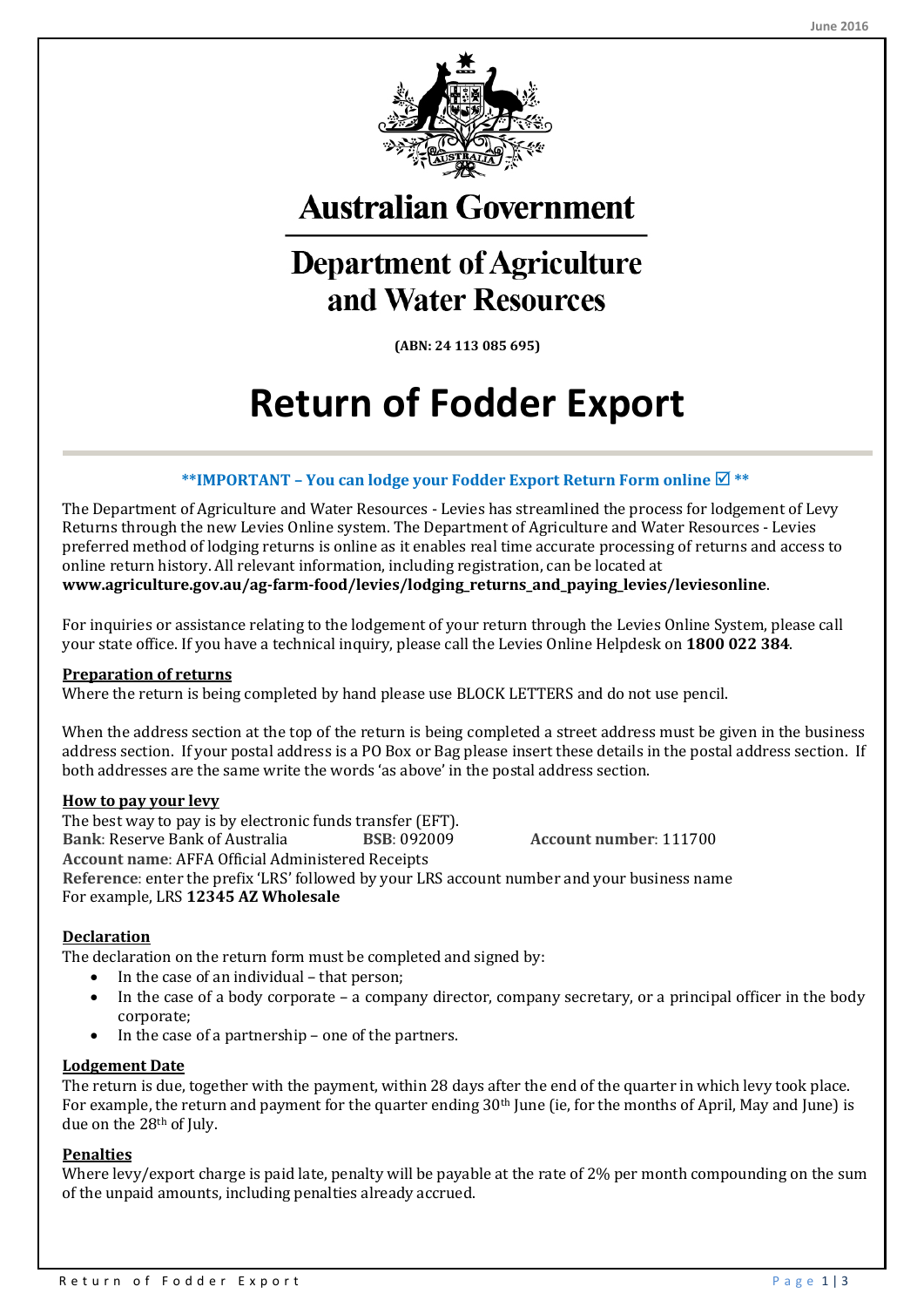

**Australian Government** 

## **Department of Agriculture** and Water Resources

**(ABN: 24 113 085 695)**

# **Return of Fodder Export**

#### **\*\*IMPORTANT – You can lodge your Fodder Export Return Form online \*\***

The Department of Agriculture and Water Resources - Levies has streamlined the process for lodgement of Levy Returns through the new Levies Online system. The Department of Agriculture and Water Resources - Levies preferred method of lodging returns is online as it enables real time accurate processing of returns and access to online return history. All relevant information, including registration, can be located at **www.agriculture.gov.au/ag-farm-food/levies/lodging\_returns\_and\_paying\_levies/leviesonline**.

For inquiries or assistance relating to the lodgement of your return through the Levies Online System, please call your state office. If you have a technical inquiry, please call the Levies Online Helpdesk on **1800 022 384**.

#### **Preparation of returns**

Where the return is being completed by hand please use BLOCK LETTERS and do not use pencil.

When the address section at the top of the return is being completed a street address must be given in the business address section. If your postal address is a PO Box or Bag please insert these details in the postal address section. If both addresses are the same write the words 'as above' in the postal address section.

#### **How to pay your levy**

The best way to pay is by electronic funds transfer (EFT).<br>Bank: Reserve Bank of Australia BSB: 092009 **Bank**: Reserve Bank of Australia **BSB**: 092009 **Account number**: 111700 **Account name**: AFFA Official Administered Receipts **Reference**: enter the prefix 'LRS' followed by your LRS account number and your business name For example, LRS **12345 AZ Wholesale**

#### **Declaration**

The declaration on the return form must be completed and signed by:

- In the case of an individual that person;
- In the case of a body corporate a company director, company secretary, or a principal officer in the body corporate;
- In the case of a partnership one of the partners.

#### **Lodgement Date**

The return is due, together with the payment, within 28 days after the end of the quarter in which levy took place. For example, the return and payment for the quarter ending 30th June (ie, for the months of April, May and June) is due on the 28th of July.

#### **Penalties**

Where levy/export charge is paid late, penalty will be payable at the rate of 2% per month compounding on the sum of the unpaid amounts, including penalties already accrued.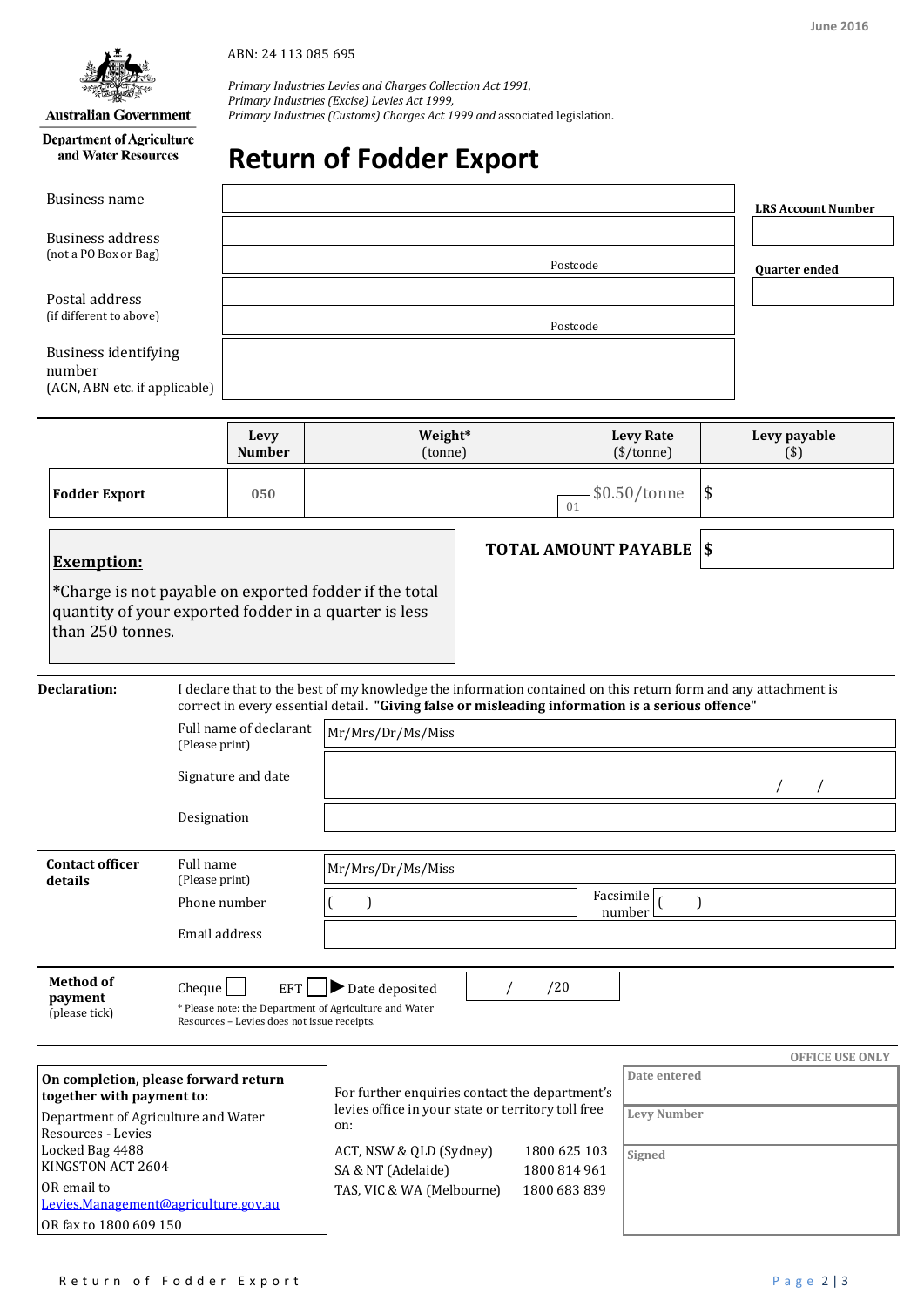#### **Australian Government**

**Department of Agriculture** and Water Resources

ABN: 24 113 085 695

*Primary Industries Levies and Charges Collection Act 1991, Primary Industries (Excise) Levies Act 1999, Primary Industries (Customs) Charges Act 1999 and* associated legislation.

## **Return of Fodder Export**

| Business name                                                                                            |                |                                                           |                                                                                                                                                                                                                    |                                 |                              |  |                                  |    | <b>LRS Account Number</b> |  |
|----------------------------------------------------------------------------------------------------------|----------------|-----------------------------------------------------------|--------------------------------------------------------------------------------------------------------------------------------------------------------------------------------------------------------------------|---------------------------------|------------------------------|--|----------------------------------|----|---------------------------|--|
| Business address<br>(not a PO Box or Bag)                                                                |                |                                                           | Postcode                                                                                                                                                                                                           |                                 |                              |  |                                  |    | <b>Ouarter ended</b>      |  |
| Postal address<br>(if different to above)                                                                |                |                                                           | Postcode                                                                                                                                                                                                           |                                 |                              |  |                                  |    |                           |  |
| <b>Business identifying</b><br>number<br>(ACN, ABN etc. if applicable)                                   |                |                                                           |                                                                                                                                                                                                                    |                                 |                              |  |                                  |    |                           |  |
|                                                                                                          |                | Levy<br><b>Number</b>                                     | Weight*<br>(tonne)                                                                                                                                                                                                 |                                 |                              |  | <b>Levy Rate</b><br>$(\$/tonne)$ |    | Levy payable<br>(3)       |  |
| <b>Fodder Export</b>                                                                                     |                | 050                                                       |                                                                                                                                                                                                                    |                                 | 01                           |  | \$0.50/tonne                     | \$ |                           |  |
| <b>Exemption:</b>                                                                                        |                |                                                           |                                                                                                                                                                                                                    | <b>TOTAL AMOUNT PAYABLE  \$</b> |                              |  |                                  |    |                           |  |
| than 250 tonnes.                                                                                         |                |                                                           | *Charge is not payable on exported fodder if the total<br>quantity of your exported fodder in a quarter is less                                                                                                    |                                 |                              |  |                                  |    |                           |  |
| Declaration:                                                                                             |                |                                                           | I declare that to the best of my knowledge the information contained on this return form and any attachment is<br>correct in every essential detail. "Giving false or misleading information is a serious offence" |                                 |                              |  |                                  |    |                           |  |
|                                                                                                          | (Please print) | Full name of declarant                                    | Mr/Mrs/Dr/Ms/Miss                                                                                                                                                                                                  |                                 |                              |  |                                  |    |                           |  |
|                                                                                                          |                | Signature and date                                        |                                                                                                                                                                                                                    |                                 |                              |  |                                  |    |                           |  |
| Designation                                                                                              |                |                                                           |                                                                                                                                                                                                                    |                                 |                              |  |                                  |    |                           |  |
| <b>Contact officer</b><br>Full name<br>details<br>(Please print)                                         |                |                                                           | Mr/Mrs/Dr/Ms/Miss                                                                                                                                                                                                  |                                 |                              |  |                                  |    |                           |  |
|                                                                                                          | Phone number   |                                                           | 1                                                                                                                                                                                                                  |                                 |                              |  | Facsimile<br>number              |    |                           |  |
|                                                                                                          | Email address  |                                                           |                                                                                                                                                                                                                    |                                 |                              |  |                                  |    |                           |  |
| <b>Method of</b><br>payment<br>(please tick)                                                             | Cheque         | <b>EFT</b><br>Resources - Levies does not issue receipts. | Date deposited<br>* Please note: the Department of Agriculture and Water                                                                                                                                           |                                 | /20                          |  |                                  |    |                           |  |
|                                                                                                          |                |                                                           |                                                                                                                                                                                                                    |                                 |                              |  | Date entered                     |    | <b>OFFICE USE ONLY</b>    |  |
| On completion, please forward return<br>together with payment to:<br>Department of Agriculture and Water |                | on:                                                       | For further enquiries contact the department's<br>levies office in your state or territory toll free                                                                                                               |                                 |                              |  | Levy Number                      |    |                           |  |
| Resources - Levies<br>Locked Bag 4488<br>KINGSTON ACT 2604                                               |                |                                                           | ACT, NSW & QLD (Sydney)<br>SA & NT (Adelaide)                                                                                                                                                                      |                                 | 1800 625 103<br>1800 814 961 |  | Signed                           |    |                           |  |
| OR email to                                                                                              |                |                                                           | TAS, VIC & WA (Melbourne)                                                                                                                                                                                          |                                 | 1800 683 839                 |  |                                  |    |                           |  |

[Levies.Management@agriculture.gov.au](mailto:Levies.Management@agriculture.gov.au)

OR fax to 1800 609 150